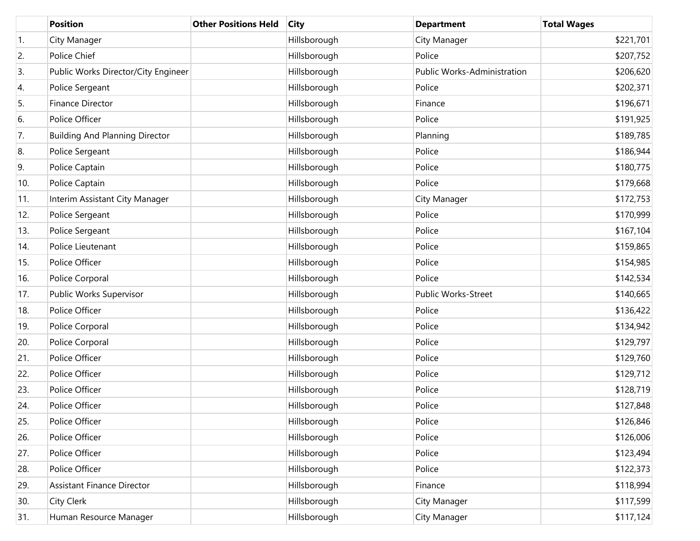|                  | <b>Position</b>                       | <b>Other Positions Held</b> | <b>City</b>  | <b>Department</b>                  | <b>Total Wages</b> |
|------------------|---------------------------------------|-----------------------------|--------------|------------------------------------|--------------------|
| $\overline{1}$ . | City Manager                          |                             | Hillsborough | City Manager                       | \$221,701          |
| 2.               | Police Chief                          |                             | Hillsborough | Police                             | \$207,752          |
| 3.               | Public Works Director/City Engineer   |                             | Hillsborough | <b>Public Works-Administration</b> | \$206,620          |
| 4.               | Police Sergeant                       |                             | Hillsborough | Police                             | \$202,371          |
| 5.               | <b>Finance Director</b>               |                             | Hillsborough | Finance                            | \$196,671          |
| 6.               | Police Officer                        |                             | Hillsborough | Police                             | \$191,925          |
| 7.               | <b>Building And Planning Director</b> |                             | Hillsborough | Planning                           | \$189,785          |
| 8.               | Police Sergeant                       |                             | Hillsborough | Police                             | \$186,944          |
| 9.               | Police Captain                        |                             | Hillsborough | Police                             | \$180,775          |
| 10.              | Police Captain                        |                             | Hillsborough | Police                             | \$179,668          |
| 11.              | Interim Assistant City Manager        |                             | Hillsborough | City Manager                       | \$172,753          |
| 12.              | Police Sergeant                       |                             | Hillsborough | Police                             | \$170,999          |
| 13.              | Police Sergeant                       |                             | Hillsborough | Police                             | \$167,104          |
| 14.              | Police Lieutenant                     |                             | Hillsborough | Police                             | \$159,865          |
| 15.              | Police Officer                        |                             | Hillsborough | Police                             | \$154,985          |
| 16.              | Police Corporal                       |                             | Hillsborough | Police                             | \$142,534          |
| 17.              | Public Works Supervisor               |                             | Hillsborough | Public Works-Street                | \$140,665          |
| 18.              | Police Officer                        |                             | Hillsborough | Police                             | \$136,422          |
| 19.              | Police Corporal                       |                             | Hillsborough | Police                             | \$134,942          |
| 20.              | Police Corporal                       |                             | Hillsborough | Police                             | \$129,797          |
| 21.              | Police Officer                        |                             | Hillsborough | Police                             | \$129,760          |
| 22.              | Police Officer                        |                             | Hillsborough | Police                             | \$129,712          |
| 23.              | Police Officer                        |                             | Hillsborough | Police                             | \$128,719          |
| 24.              | Police Officer                        |                             | Hillsborough | Police                             | \$127,848          |
| 25.              | Police Officer                        |                             | Hillsborough | Police                             | \$126,846          |
| 26.              | Police Officer                        |                             | Hillsborough | Police                             | \$126,006          |
| 27.              | Police Officer                        |                             | Hillsborough | Police                             | \$123,494          |
| 28.              | Police Officer                        |                             | Hillsborough | Police                             | \$122,373          |
| 29.              | <b>Assistant Finance Director</b>     |                             | Hillsborough | Finance                            | \$118,994          |
| 30.              | City Clerk                            |                             | Hillsborough | City Manager                       | \$117,599          |
| 31.              | Human Resource Manager                |                             | Hillsborough | City Manager                       | \$117,124          |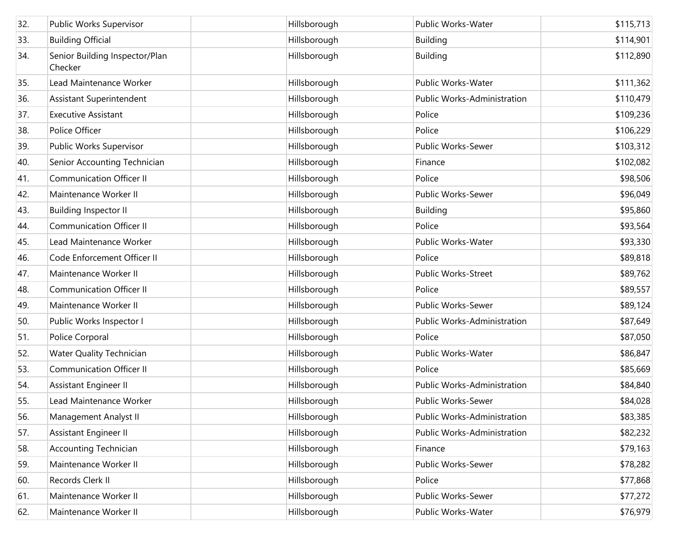| 32. | Public Works Supervisor                   | Hillsborough | Public Works-Water          | \$115,713 |
|-----|-------------------------------------------|--------------|-----------------------------|-----------|
| 33. | <b>Building Official</b>                  | Hillsborough | <b>Building</b>             | \$114,901 |
| 34. | Senior Building Inspector/Plan<br>Checker | Hillsborough | <b>Building</b>             | \$112,890 |
| 35. | Lead Maintenance Worker                   | Hillsborough | Public Works-Water          | \$111,362 |
| 36. | Assistant Superintendent                  | Hillsborough | Public Works-Administration | \$110,479 |
| 37. | <b>Executive Assistant</b>                | Hillsborough | Police                      | \$109,236 |
| 38. | Police Officer                            | Hillsborough | Police                      | \$106,229 |
| 39. | Public Works Supervisor                   | Hillsborough | <b>Public Works-Sewer</b>   | \$103,312 |
| 40. | Senior Accounting Technician              | Hillsborough | Finance                     | \$102,082 |
| 41. | <b>Communication Officer II</b>           | Hillsborough | Police                      | \$98,506  |
| 42. | Maintenance Worker II                     | Hillsborough | Public Works-Sewer          | \$96,049  |
| 43. | <b>Building Inspector II</b>              | Hillsborough | <b>Building</b>             | \$95,860  |
| 44. | <b>Communication Officer II</b>           | Hillsborough | Police                      | \$93,564  |
| 45. | Lead Maintenance Worker                   | Hillsborough | Public Works-Water          | \$93,330  |
| 46. | Code Enforcement Officer II               | Hillsborough | Police                      | \$89,818  |
| 47. | Maintenance Worker II                     | Hillsborough | <b>Public Works-Street</b>  | \$89,762  |
| 48. | <b>Communication Officer II</b>           | Hillsborough | Police                      | \$89,557  |
| 49. | Maintenance Worker II                     | Hillsborough | Public Works-Sewer          | \$89,124  |
| 50. | Public Works Inspector I                  | Hillsborough | Public Works-Administration | \$87,649  |
| 51. | Police Corporal                           | Hillsborough | Police                      | \$87,050  |
| 52. | Water Quality Technician                  | Hillsborough | Public Works-Water          | \$86,847  |
| 53. | <b>Communication Officer II</b>           | Hillsborough | Police                      | \$85,669  |
| 54. | Assistant Engineer II                     | Hillsborough | Public Works-Administration | \$84,840  |
| 55. | Lead Maintenance Worker                   | Hillsborough | Public Works-Sewer          | \$84,028  |
| 56. | Management Analyst II                     | Hillsborough | Public Works-Administration | \$83,385  |
| 57. | Assistant Engineer II                     | Hillsborough | Public Works-Administration | \$82,232  |
| 58. | <b>Accounting Technician</b>              | Hillsborough | Finance                     | \$79,163  |
| 59. | Maintenance Worker II                     | Hillsborough | Public Works-Sewer          | \$78,282  |
| 60. | Records Clerk II                          | Hillsborough | Police                      | \$77,868  |
| 61. | Maintenance Worker II                     | Hillsborough | Public Works-Sewer          | \$77,272  |
| 62. | Maintenance Worker II                     | Hillsborough | Public Works-Water          | \$76,979  |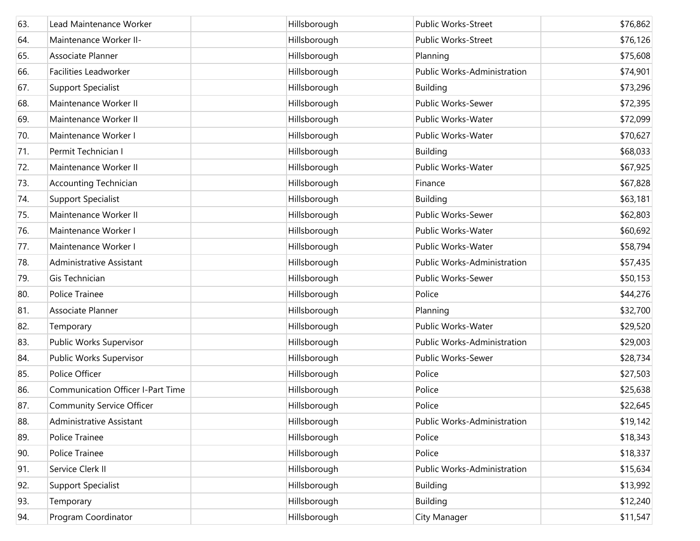| 63. | Lead Maintenance Worker                  | Hillsborough | <b>Public Works-Street</b>  | \$76,862 |
|-----|------------------------------------------|--------------|-----------------------------|----------|
| 64. | Maintenance Worker II-                   | Hillsborough | <b>Public Works-Street</b>  | \$76,126 |
| 65. | Associate Planner                        | Hillsborough | Planning                    | \$75,608 |
| 66. | Facilities Leadworker                    | Hillsborough | Public Works-Administration | \$74,901 |
| 67. | Support Specialist                       | Hillsborough | <b>Building</b>             | \$73,296 |
| 68. | Maintenance Worker II                    | Hillsborough | Public Works-Sewer          | \$72,395 |
| 69. | Maintenance Worker II                    | Hillsborough | Public Works-Water          | \$72,099 |
| 70. | Maintenance Worker I                     | Hillsborough | Public Works-Water          | \$70,627 |
| 71. | Permit Technician I                      | Hillsborough | <b>Building</b>             | \$68,033 |
| 72. | Maintenance Worker II                    | Hillsborough | Public Works-Water          | \$67,925 |
| 73. | <b>Accounting Technician</b>             | Hillsborough | Finance                     | \$67,828 |
| 74. | Support Specialist                       | Hillsborough | <b>Building</b>             | \$63,181 |
| 75. | Maintenance Worker II                    | Hillsborough | Public Works-Sewer          | \$62,803 |
| 76. | Maintenance Worker I                     | Hillsborough | Public Works-Water          | \$60,692 |
| 77. | Maintenance Worker I                     | Hillsborough | Public Works-Water          | \$58,794 |
| 78. | Administrative Assistant                 | Hillsborough | Public Works-Administration | \$57,435 |
| 79. | Gis Technician                           | Hillsborough | Public Works-Sewer          | \$50,153 |
| 80. | Police Trainee                           | Hillsborough | Police                      | \$44,276 |
| 81. | Associate Planner                        | Hillsborough | Planning                    | \$32,700 |
| 82. | Temporary                                | Hillsborough | Public Works-Water          | \$29,520 |
| 83. | Public Works Supervisor                  | Hillsborough | Public Works-Administration | \$29,003 |
| 84. | Public Works Supervisor                  | Hillsborough | Public Works-Sewer          | \$28,734 |
| 85. | Police Officer                           | Hillsborough | Police                      | \$27,503 |
| 86. | <b>Communication Officer I-Part Time</b> | Hillsborough | Police                      | \$25,638 |
| 87. | Community Service Officer                | Hillsborough | Police                      | \$22,645 |
| 88. | Administrative Assistant                 | Hillsborough | Public Works-Administration | \$19,142 |
| 89. | Police Trainee                           | Hillsborough | Police                      | \$18,343 |
| 90. | Police Trainee                           | Hillsborough | Police                      | \$18,337 |
| 91. | Service Clerk II                         | Hillsborough | Public Works-Administration | \$15,634 |
| 92. | Support Specialist                       | Hillsborough | <b>Building</b>             | \$13,992 |
| 93. | Temporary                                | Hillsborough | <b>Building</b>             | \$12,240 |
| 94. | Program Coordinator                      | Hillsborough | City Manager                | \$11,547 |